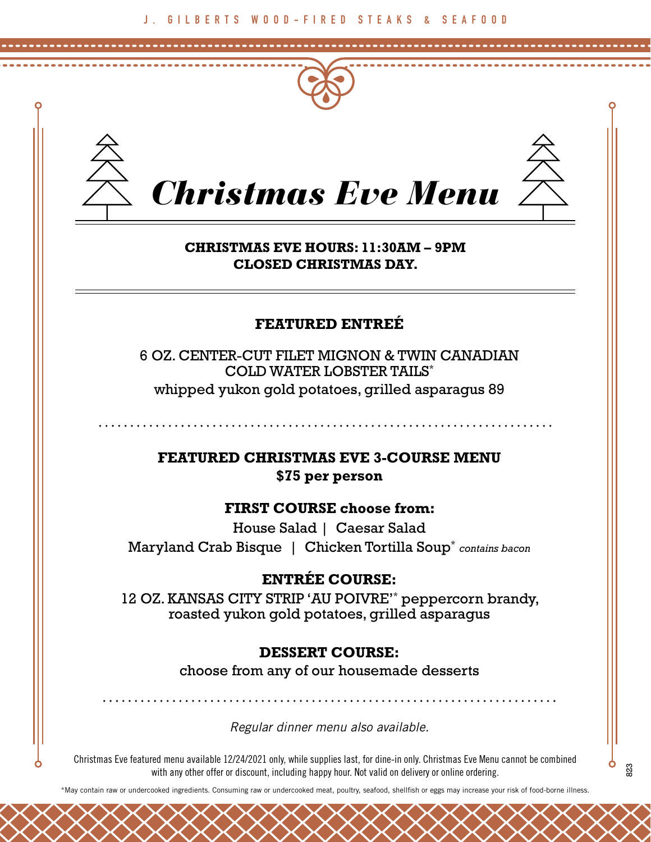



# *Christmas Eve Menu*

#### **CHRISTMAS EVE HOURS: 11:30AM – 9PM CLOSED CHRISTMAS DAY.**

## **FEATURED ENTREÉ**

6 OZ. CENTER-CUT FILET MIGNON & TWIN CANADIAN COLD WATER LOBSTER TAILS\* whipped yukon gold potatoes, grilled asparagus 89

**FEATURED CHRISTMAS EVE 3-COURSE MENU \$75 per person**

#### **FIRST COURSE choose from:**

House Salad | Caesar Salad Maryland Crab Bisque | Chicken Tortilla Soup\* *contains bacon*

### **ENTRÉE COURSE:**

12 OZ. KANSAS CITY STRIP 'AU POIVRE'\* peppercorn brandy, roasted yukon gold potatoes, grilled asparagus

#### **DESSERT COURSE:**

choose from any of our housemade desserts

*Regular dinner menu also available.* 

Christmas Eve featured menu available 12/24/2021 only, while supplies last, for dine-in only. Christmas Eve Menu cannot be combined with any other offer or discount, including happy hour. Not valid on delivery or online ordering.

\*May contain raw or undercooked ingredients. Consuming raw or undercooked meat, poultry, seafood, shellfish or eggs may increase your risk of food-borne illness.